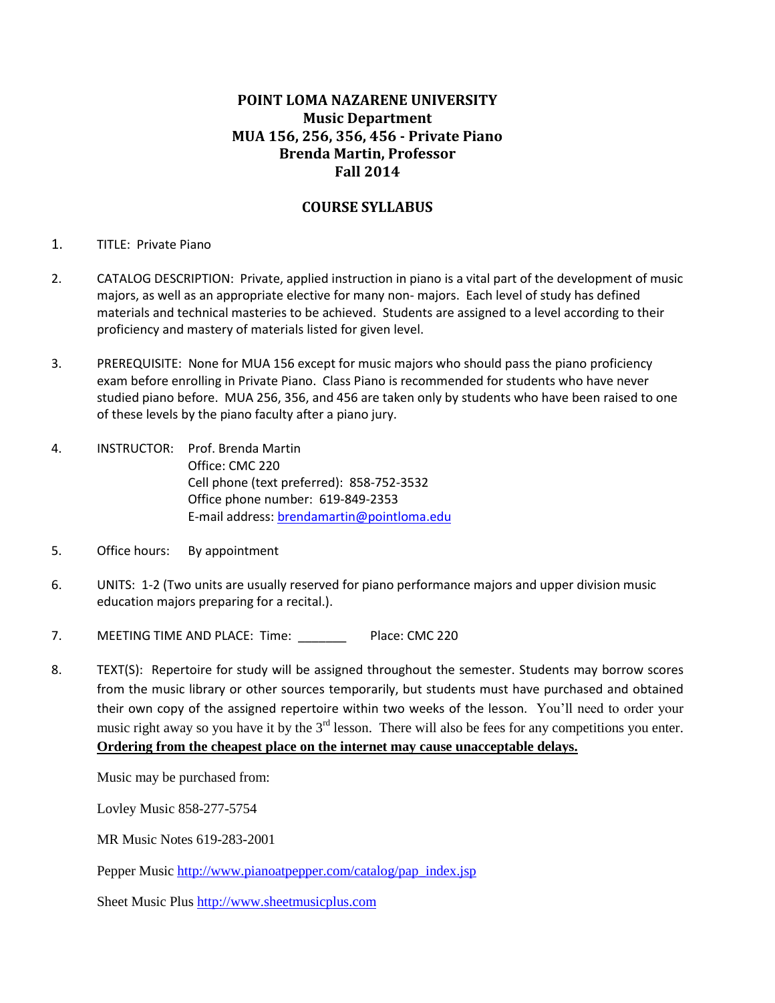# **POINT LOMA NAZARENE UNIVERSITY Music Department MUA 156, 256, 356, 456 - Private Piano Brenda Martin, Professor Fall 2014**

### **COURSE SYLLABUS**

#### 1. TITLE: Private Piano

- 2. CATALOG DESCRIPTION: Private, applied instruction in piano is a vital part of the development of music majors, as well as an appropriate elective for many non- majors. Each level of study has defined materials and technical masteries to be achieved. Students are assigned to a level according to their proficiency and mastery of materials listed for given level.
- 3. PREREQUISITE: None for MUA 156 except for music majors who should pass the piano proficiency exam before enrolling in Private Piano. Class Piano is recommended for students who have never studied piano before. MUA 256, 356, and 456 are taken only by students who have been raised to one of these levels by the piano faculty after a piano jury.
- 4. INSTRUCTOR: Prof. Brenda Martin Office: CMC 220 Cell phone (text preferred): 858-752-3532 Office phone number: 619-849-2353 E-mail address: [brendamartin@pointloma.edu](mailto:brendamartin@pointloma.edu)
- 5. Office hours: By appointment
- 6. UNITS: 1-2 (Two units are usually reserved for piano performance majors and upper division music education majors preparing for a recital.).
- 7. MEETING TIME AND PLACE: Time: \_\_\_\_\_\_\_\_ Place: CMC 220
- 8. TEXT(S): Repertoire for study will be assigned throughout the semester. Students may borrow scores from the music library or other sources temporarily, but students must have purchased and obtained their own copy of the assigned repertoire within two weeks of the lesson. You'll need to order your music right away so you have it by the  $3<sup>rd</sup>$  lesson. There will also be fees for any competitions you enter. **Ordering from the cheapest place on the internet may cause unacceptable delays.**

Music may be purchased from:

Lovley Music 858-277-5754

MR Music Notes 619-283-2001

Pepper Music [http://www.pianoatpepper.com/catalog/pap\\_index.jsp](http://www.pianoatpepper.com/catalog/pap_index.jsp)

Sheet Music Plu[s http://www.sheetmusicplus.com](http://www.sheetmusicplus.com/)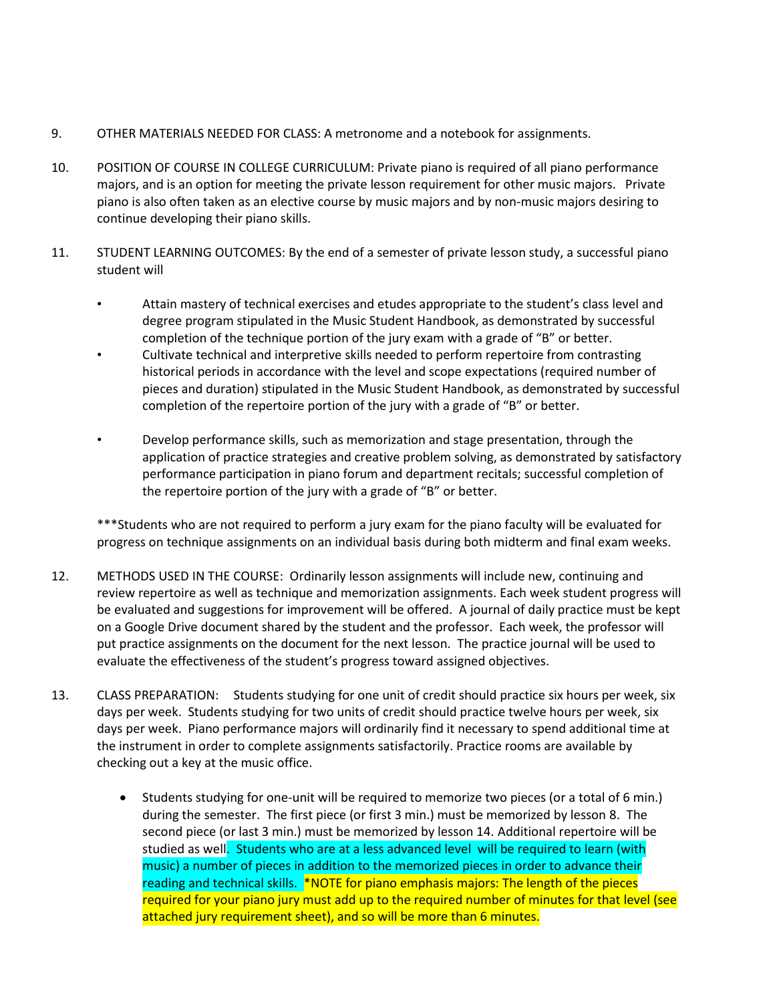- 9. OTHER MATERIALS NEEDED FOR CLASS: A metronome and a notebook for assignments.
- 10. POSITION OF COURSE IN COLLEGE CURRICULUM: Private piano is required of all piano performance majors, and is an option for meeting the private lesson requirement for other music majors. Private piano is also often taken as an elective course by music majors and by non-music majors desiring to continue developing their piano skills.
- 11. STUDENT LEARNING OUTCOMES: By the end of a semester of private lesson study, a successful piano student will
	- Attain mastery of technical exercises and etudes appropriate to the student's class level and degree program stipulated in the Music Student Handbook, as demonstrated by successful completion of the technique portion of the jury exam with a grade of "B" or better.
	- Cultivate technical and interpretive skills needed to perform repertoire from contrasting historical periods in accordance with the level and scope expectations (required number of pieces and duration) stipulated in the Music Student Handbook, as demonstrated by successful completion of the repertoire portion of the jury with a grade of "B" or better.
	- Develop performance skills, such as memorization and stage presentation, through the application of practice strategies and creative problem solving, as demonstrated by satisfactory performance participation in piano forum and department recitals; successful completion of the repertoire portion of the jury with a grade of "B" or better.

\*\*\*Students who are not required to perform a jury exam for the piano faculty will be evaluated for progress on technique assignments on an individual basis during both midterm and final exam weeks.

- 12. METHODS USED IN THE COURSE: Ordinarily lesson assignments will include new, continuing and review repertoire as well as technique and memorization assignments. Each week student progress will be evaluated and suggestions for improvement will be offered. A journal of daily practice must be kept on a Google Drive document shared by the student and the professor. Each week, the professor will put practice assignments on the document for the next lesson. The practice journal will be used to evaluate the effectiveness of the student's progress toward assigned objectives.
- 13. CLASS PREPARATION: Students studying for one unit of credit should practice six hours per week, six days per week. Students studying for two units of credit should practice twelve hours per week, six days per week. Piano performance majors will ordinarily find it necessary to spend additional time at the instrument in order to complete assignments satisfactorily. Practice rooms are available by checking out a key at the music office.
	- Students studying for one-unit will be required to memorize two pieces (or a total of 6 min.) during the semester. The first piece (or first 3 min.) must be memorized by lesson 8. The second piece (or last 3 min.) must be memorized by lesson 14. Additional repertoire will be studied as well. Students who are at a less advanced level will be required to learn (with music) a number of pieces in addition to the memorized pieces in order to advance their reading and technical skills. \*NOTE for piano emphasis majors: The length of the pieces required for your piano jury must add up to the required number of minutes for that level (see attached jury requirement sheet), and so will be more than 6 minutes.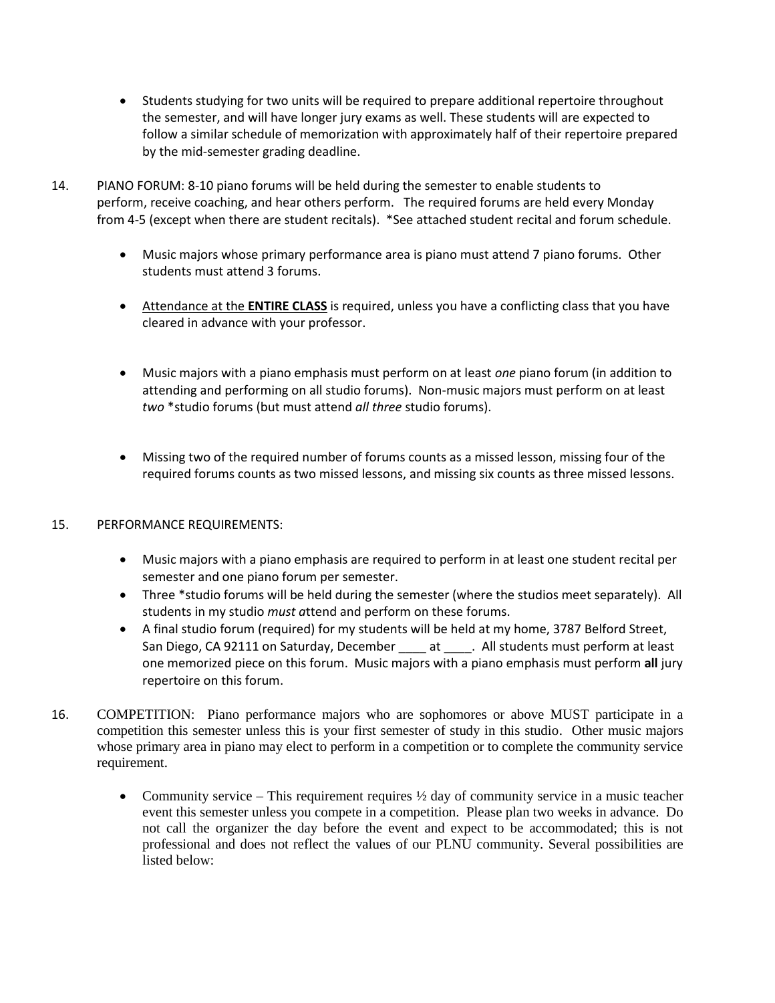- Students studying for two units will be required to prepare additional repertoire throughout the semester, and will have longer jury exams as well. These students will are expected to follow a similar schedule of memorization with approximately half of their repertoire prepared by the mid-semester grading deadline.
- 14. PIANO FORUM: 8-10 piano forums will be held during the semester to enable students to perform, receive coaching, and hear others perform. The required forums are held every Monday from 4-5 (except when there are student recitals). \*See attached student recital and forum schedule.
	- Music majors whose primary performance area is piano must attend 7 piano forums. Other students must attend 3 forums.
	- Attendance at the **ENTIRE CLASS** is required, unless you have a conflicting class that you have cleared in advance with your professor.
	- Music majors with a piano emphasis must perform on at least *one* piano forum (in addition to attending and performing on all studio forums). Non-music majors must perform on at least *two* \*studio forums (but must attend *all three* studio forums).
	- Missing two of the required number of forums counts as a missed lesson, missing four of the required forums counts as two missed lessons, and missing six counts as three missed lessons.

## 15. PERFORMANCE REQUIREMENTS:

- Music majors with a piano emphasis are required to perform in at least one student recital per semester and one piano forum per semester.
- Three \*studio forums will be held during the semester (where the studios meet separately). All students in my studio *must a*ttend and perform on these forums.
- A final studio forum (required) for my students will be held at my home, 3787 Belford Street, San Diego, CA 92111 on Saturday, December \_\_\_\_\_ at \_\_\_\_\_. All students must perform at least one memorized piece on this forum. Music majors with a piano emphasis must perform **all** jury repertoire on this forum.
- 16. COMPETITION: Piano performance majors who are sophomores or above MUST participate in a competition this semester unless this is your first semester of study in this studio. Other music majors whose primary area in piano may elect to perform in a competition or to complete the community service requirement.
	- Community service This requirement requires  $\frac{1}{2}$  day of community service in a music teacher event this semester unless you compete in a competition. Please plan two weeks in advance. Do not call the organizer the day before the event and expect to be accommodated; this is not professional and does not reflect the values of our PLNU community. Several possibilities are listed below: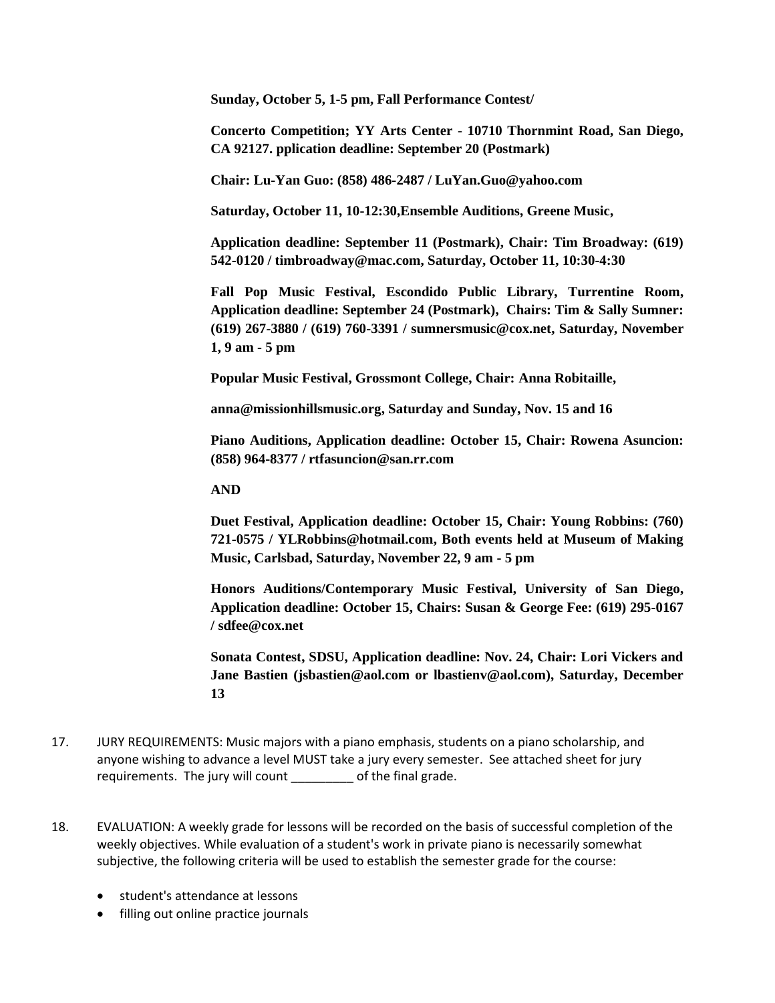**Sunday, October 5, 1-5 pm, Fall Performance Contest/**

**Concerto Competition; YY Arts Center - 10710 Thornmint Road, San Diego, CA 92127. pplication deadline: September 20 (Postmark)**

**Chair: Lu-Yan Guo: (858) 486-2487 / LuYan.Guo@yahoo.com**

**Saturday, October 11, 10-12:30,Ensemble Auditions, Greene Music,**

**Application deadline: September 11 (Postmark), Chair: Tim Broadway: (619) 542-0120 / timbroadway@mac.com, Saturday, October 11, 10:30-4:30**

**Fall Pop Music Festival, Escondido Public Library, Turrentine Room, Application deadline: September 24 (Postmark), Chairs: Tim & Sally Sumner: (619) 267-3880 / (619) 760-3391 / sumnersmusic@cox.net, Saturday, November 1, 9 am - 5 pm**

**Popular Music Festival, Grossmont College, Chair: Anna Robitaille,**

**anna@missionhillsmusic.org, Saturday and Sunday, Nov. 15 and 16**

**Piano Auditions, Application deadline: October 15, Chair: Rowena Asuncion: (858) 964-8377 / rtfasuncion@san.rr.com**

**AND**

**Duet Festival, Application deadline: October 15, Chair: Young Robbins: (760) 721-0575 / YLRobbins@hotmail.com, Both events held at Museum of Making Music, Carlsbad, Saturday, November 22, 9 am - 5 pm**

**Honors Auditions/Contemporary Music Festival, University of San Diego, Application deadline: October 15, Chairs: Susan & George Fee: (619) 295-0167 / sdfee@cox.net**

**Sonata Contest, SDSU, Application deadline: Nov. 24, Chair: Lori Vickers and Jane Bastien (jsbastien@aol.com or lbastienv@aol.com), Saturday, December 13**

- 17. JURY REQUIREMENTS: Music majors with a piano emphasis, students on a piano scholarship, and anyone wishing to advance a level MUST take a jury every semester. See attached sheet for jury requirements. The jury will count \_\_\_\_\_\_\_\_\_ of the final grade.
- 18. EVALUATION: A weekly grade for lessons will be recorded on the basis of successful completion of the weekly objectives. While evaluation of a student's work in private piano is necessarily somewhat subjective, the following criteria will be used to establish the semester grade for the course:
	- student's attendance at lessons
	- filling out online practice journals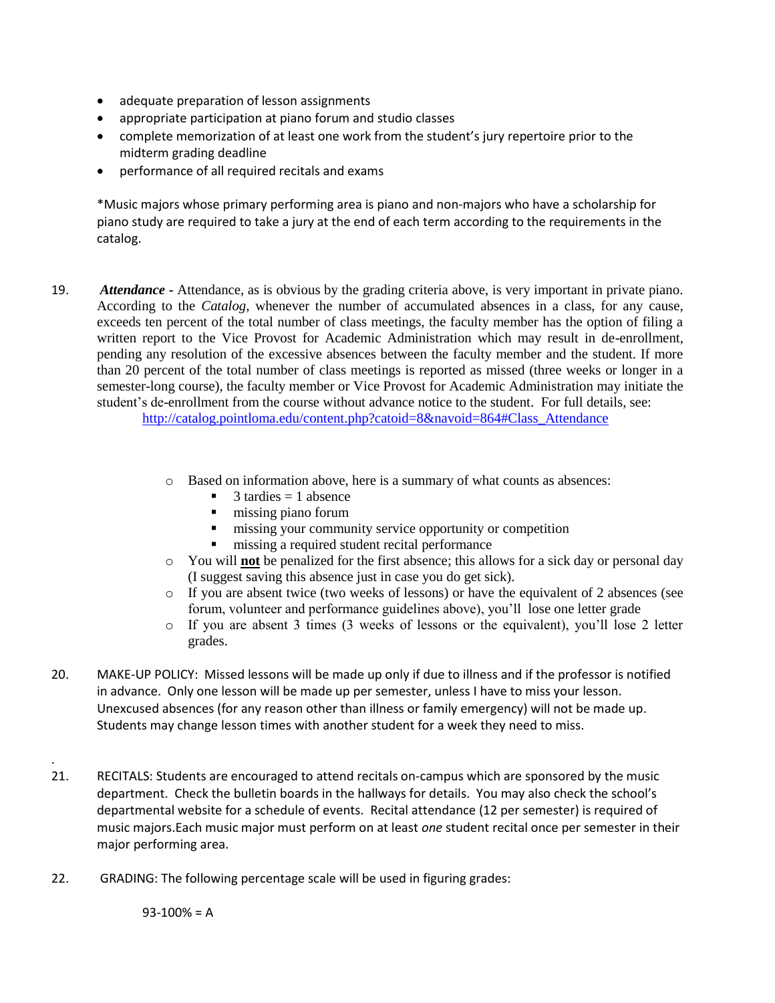- adequate preparation of lesson assignments
- appropriate participation at piano forum and studio classes
- complete memorization of at least one work from the student's jury repertoire prior to the midterm grading deadline
- performance of all required recitals and exams

\*Music majors whose primary performing area is piano and non-majors who have a scholarship for piano study are required to take a jury at the end of each term according to the requirements in the catalog.

- 19. *Attendance* **-** Attendance, as is obvious by the grading criteria above, is very important in private piano. According to the *Catalog*, whenever the number of accumulated absences in a class, for any cause, exceeds ten percent of the total number of class meetings, the faculty member has the option of filing a written report to the Vice Provost for Academic Administration which may result in de-enrollment, pending any resolution of the excessive absences between the faculty member and the student. If more than 20 percent of the total number of class meetings is reported as missed (three weeks or longer in a semester-long course), the faculty member or Vice Provost for Academic Administration may initiate the student's de-enrollment from the course without advance notice to the student. For full details, see: [http://catalog.pointloma.edu/content.php?catoid=8&navoid=864#Class\\_Attendance](http://catalog.pointloma.edu/content.php?catoid=8&navoid=864%23Class_Attendance)
	- o Based on information above, here is a summary of what counts as absences:
		- $3$  tardies  $= 1$  absence
		- $\blacksquare$  missing piano forum
		- $\blacksquare$  missing your community service opportunity or competition
		- $\blacksquare$  missing a required student recital performance
	- o You will **not** be penalized for the first absence; this allows for a sick day or personal day (I suggest saving this absence just in case you do get sick).
	- o If you are absent twice (two weeks of lessons) or have the equivalent of 2 absences (see forum, volunteer and performance guidelines above), you'll lose one letter grade
	- o If you are absent 3 times (3 weeks of lessons or the equivalent), you'll lose 2 letter grades.
- 20. MAKE-UP POLICY: Missed lessons will be made up only if due to illness and if the professor is notified in advance. Only one lesson will be made up per semester, unless I have to miss your lesson. Unexcused absences (for any reason other than illness or family emergency) will not be made up. Students may change lesson times with another student for a week they need to miss.
- 21. RECITALS: Students are encouraged to attend recitals on-campus which are sponsored by the music department. Check the bulletin boards in the hallways for details. You may also check the school's departmental website for a schedule of events. Recital attendance (12 per semester) is required of music majors.Each music major must perform on at least *one* student recital once per semester in their major performing area.
- 22. GRADING: The following percentage scale will be used in figuring grades:

 $93-100% = A$ 

.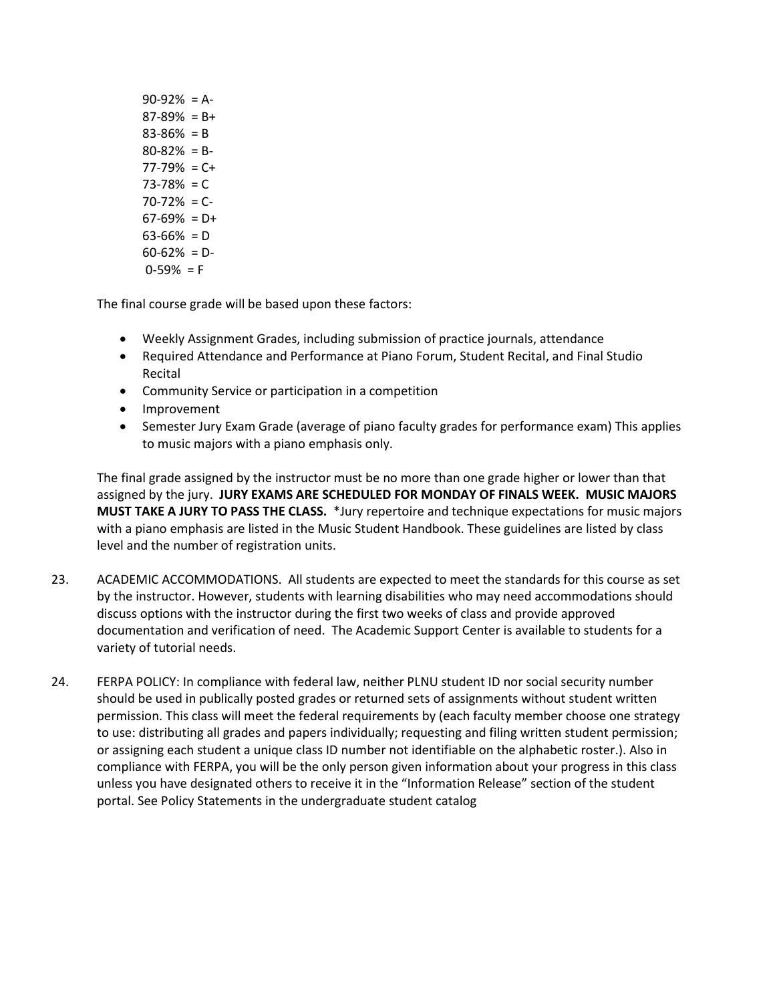$90-92% = A$  $87-89% = B+$  $83-86% = B$  $80 - 82\% = B$ 77-79% = C+  $73 - 78\% = C$  $70 - 72\% = C$  $67-69\% = D+$  $63-66% = D$  $60-62\% = D$  $0-59% = F$ 

The final course grade will be based upon these factors:

- Weekly Assignment Grades, including submission of practice journals, attendance
- Required Attendance and Performance at Piano Forum, Student Recital, and Final Studio Recital
- Community Service or participation in a competition
- Improvement
- Semester Jury Exam Grade (average of piano faculty grades for performance exam) This applies to music majors with a piano emphasis only.

The final grade assigned by the instructor must be no more than one grade higher or lower than that assigned by the jury. **JURY EXAMS ARE SCHEDULED FOR MONDAY OF FINALS WEEK. MUSIC MAJORS MUST TAKE A JURY TO PASS THE CLASS.** \*Jury repertoire and technique expectations for music majors with a piano emphasis are listed in the Music Student Handbook. These guidelines are listed by class level and the number of registration units.

- 23. ACADEMIC ACCOMMODATIONS. All students are expected to meet the standards for this course as set by the instructor. However, students with learning disabilities who may need accommodations should discuss options with the instructor during the first two weeks of class and provide approved documentation and verification of need. The Academic Support Center is available to students for a variety of tutorial needs.
- 24. FERPA POLICY: In compliance with federal law, neither PLNU student ID nor social security number should be used in publically posted grades or returned sets of assignments without student written permission. This class will meet the federal requirements by (each faculty member choose one strategy to use: distributing all grades and papers individually; requesting and filing written student permission; or assigning each student a unique class ID number not identifiable on the alphabetic roster.). Also in compliance with FERPA, you will be the only person given information about your progress in this class unless you have designated others to receive it in the "Information Release" section of the student portal. See Policy Statements in the undergraduate student catalog